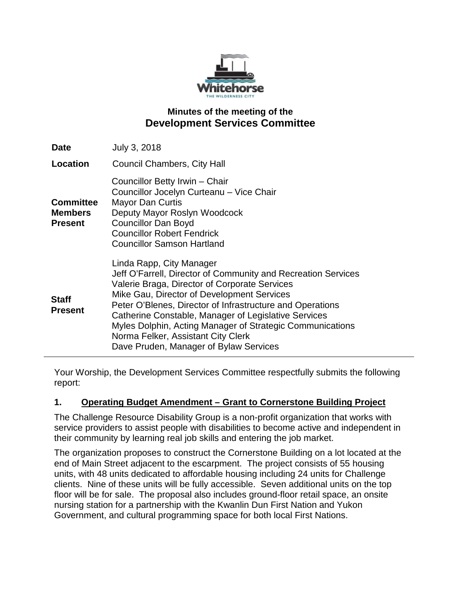

# **Minutes of the meeting of the Development Services Committee**

| <b>Date</b>                                          | July 3, 2018                                                                                                                                                                                                                                                                                                                                                                                                                                               |
|------------------------------------------------------|------------------------------------------------------------------------------------------------------------------------------------------------------------------------------------------------------------------------------------------------------------------------------------------------------------------------------------------------------------------------------------------------------------------------------------------------------------|
| Location                                             | <b>Council Chambers, City Hall</b>                                                                                                                                                                                                                                                                                                                                                                                                                         |
| <b>Committee</b><br><b>Members</b><br><b>Present</b> | Councillor Betty Irwin - Chair<br>Councillor Jocelyn Curteanu - Vice Chair<br><b>Mayor Dan Curtis</b><br>Deputy Mayor Roslyn Woodcock<br><b>Councillor Dan Boyd</b><br><b>Councillor Robert Fendrick</b><br><b>Councillor Samson Hartland</b>                                                                                                                                                                                                              |
| <b>Staff</b><br><b>Present</b>                       | Linda Rapp, City Manager<br>Jeff O'Farrell, Director of Community and Recreation Services<br>Valerie Braga, Director of Corporate Services<br>Mike Gau, Director of Development Services<br>Peter O'Blenes, Director of Infrastructure and Operations<br>Catherine Constable, Manager of Legislative Services<br>Myles Dolphin, Acting Manager of Strategic Communications<br>Norma Felker, Assistant City Clerk<br>Dave Pruden, Manager of Bylaw Services |

Your Worship, the Development Services Committee respectfully submits the following report:

### **1. Operating Budget Amendment – Grant to Cornerstone Building Project**

The Challenge Resource Disability Group is a non-profit organization that works with service providers to assist people with disabilities to become active and independent in their community by learning real job skills and entering the job market.

The organization proposes to construct the Cornerstone Building on a lot located at the end of Main Street adjacent to the escarpment. The project consists of 55 housing units, with 48 units dedicated to affordable housing including 24 units for Challenge clients. Nine of these units will be fully accessible. Seven additional units on the top floor will be for sale. The proposal also includes ground-floor retail space, an onsite nursing station for a partnership with the Kwanlin Dun First Nation and Yukon Government, and cultural programming space for both local First Nations.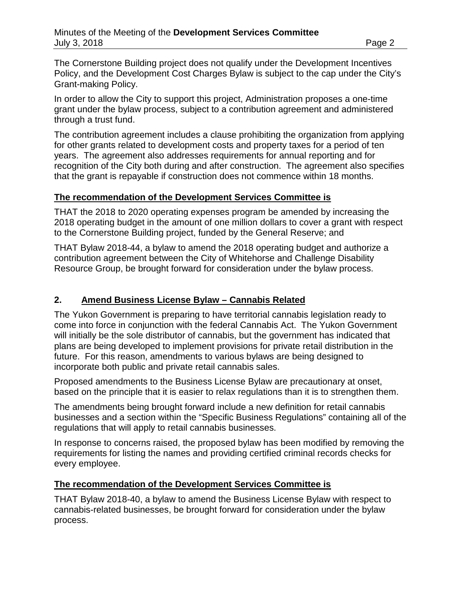The Cornerstone Building project does not qualify under the Development Incentives Policy, and the Development Cost Charges Bylaw is subject to the cap under the City's Grant-making Policy.

In order to allow the City to support this project, Administration proposes a one-time grant under the bylaw process, subject to a contribution agreement and administered through a trust fund.

The contribution agreement includes a clause prohibiting the organization from applying for other grants related to development costs and property taxes for a period of ten years. The agreement also addresses requirements for annual reporting and for recognition of the City both during and after construction. The agreement also specifies that the grant is repayable if construction does not commence within 18 months.

### **The recommendation of the Development Services Committee is**

THAT the 2018 to 2020 operating expenses program be amended by increasing the 2018 operating budget in the amount of one million dollars to cover a grant with respect to the Cornerstone Building project, funded by the General Reserve; and

THAT Bylaw 2018-44, a bylaw to amend the 2018 operating budget and authorize a contribution agreement between the City of Whitehorse and Challenge Disability Resource Group, be brought forward for consideration under the bylaw process.

## **2. Amend Business License Bylaw – Cannabis Related**

The Yukon Government is preparing to have territorial cannabis legislation ready to come into force in conjunction with the federal Cannabis Act. The Yukon Government will initially be the sole distributor of cannabis, but the government has indicated that plans are being developed to implement provisions for private retail distribution in the future. For this reason, amendments to various bylaws are being designed to incorporate both public and private retail cannabis sales.

Proposed amendments to the Business License Bylaw are precautionary at onset, based on the principle that it is easier to relax regulations than it is to strengthen them.

The amendments being brought forward include a new definition for retail cannabis businesses and a section within the "Specific Business Regulations" containing all of the regulations that will apply to retail cannabis businesses.

In response to concerns raised, the proposed bylaw has been modified by removing the requirements for listing the names and providing certified criminal records checks for every employee.

### **The recommendation of the Development Services Committee is**

THAT Bylaw 2018-40, a bylaw to amend the Business License Bylaw with respect to cannabis-related businesses, be brought forward for consideration under the bylaw process.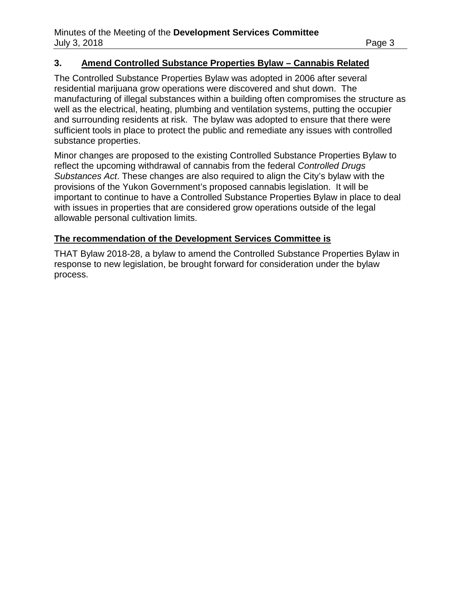### **3. Amend Controlled Substance Properties Bylaw – Cannabis Related**

The Controlled Substance Properties Bylaw was adopted in 2006 after several residential marijuana grow operations were discovered and shut down. The manufacturing of illegal substances within a building often compromises the structure as well as the electrical, heating, plumbing and ventilation systems, putting the occupier and surrounding residents at risk. The bylaw was adopted to ensure that there were sufficient tools in place to protect the public and remediate any issues with controlled substance properties.

Minor changes are proposed to the existing Controlled Substance Properties Bylaw to reflect the upcoming withdrawal of cannabis from the federal *Controlled Drugs Substances Act*. These changes are also required to align the City's bylaw with the provisions of the Yukon Government's proposed cannabis legislation. It will be important to continue to have a Controlled Substance Properties Bylaw in place to deal with issues in properties that are considered grow operations outside of the legal allowable personal cultivation limits.

### **The recommendation of the Development Services Committee is**

THAT Bylaw 2018-28, a bylaw to amend the Controlled Substance Properties Bylaw in response to new legislation, be brought forward for consideration under the bylaw process.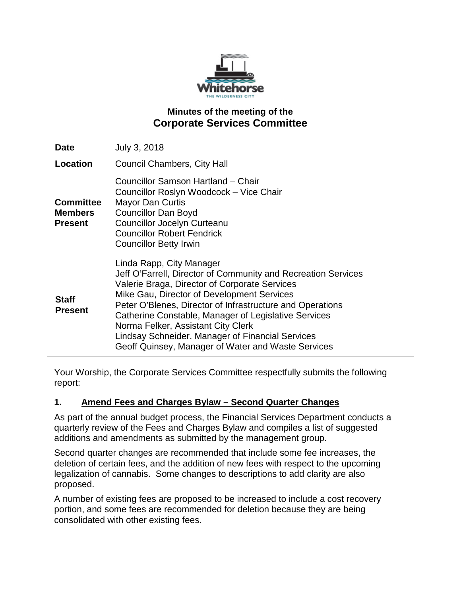

# **Minutes of the meeting of the Corporate Services Committee**

| <b>Date</b>                                          | July 3, 2018                                                                                                                                                                                                                                                                                                                                                                                                                                                  |
|------------------------------------------------------|---------------------------------------------------------------------------------------------------------------------------------------------------------------------------------------------------------------------------------------------------------------------------------------------------------------------------------------------------------------------------------------------------------------------------------------------------------------|
| Location                                             | <b>Council Chambers, City Hall</b>                                                                                                                                                                                                                                                                                                                                                                                                                            |
| <b>Committee</b><br><b>Members</b><br><b>Present</b> | Councillor Samson Hartland - Chair<br>Councillor Roslyn Woodcock - Vice Chair<br><b>Mayor Dan Curtis</b><br><b>Councillor Dan Boyd</b><br><b>Councillor Jocelyn Curteanu</b><br><b>Councillor Robert Fendrick</b><br><b>Councillor Betty Irwin</b>                                                                                                                                                                                                            |
| <b>Staff</b><br><b>Present</b>                       | Linda Rapp, City Manager<br>Jeff O'Farrell, Director of Community and Recreation Services<br>Valerie Braga, Director of Corporate Services<br>Mike Gau, Director of Development Services<br>Peter O'Blenes, Director of Infrastructure and Operations<br>Catherine Constable, Manager of Legislative Services<br>Norma Felker, Assistant City Clerk<br>Lindsay Schneider, Manager of Financial Services<br>Geoff Quinsey, Manager of Water and Waste Services |

Your Worship, the Corporate Services Committee respectfully submits the following report:

## **1. Amend Fees and Charges Bylaw – Second Quarter Changes**

As part of the annual budget process, the Financial Services Department conducts a quarterly review of the Fees and Charges Bylaw and compiles a list of suggested additions and amendments as submitted by the management group.

Second quarter changes are recommended that include some fee increases, the deletion of certain fees, and the addition of new fees with respect to the upcoming legalization of cannabis. Some changes to descriptions to add clarity are also proposed.

A number of existing fees are proposed to be increased to include a cost recovery portion, and some fees are recommended for deletion because they are being consolidated with other existing fees.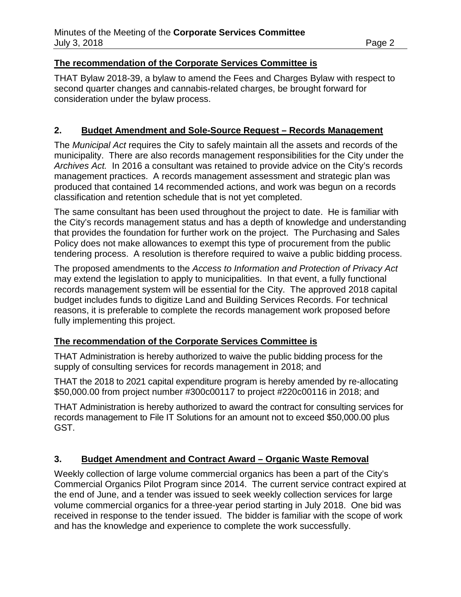## **The recommendation of the Corporate Services Committee is**

THAT Bylaw 2018-39, a bylaw to amend the Fees and Charges Bylaw with respect to second quarter changes and cannabis-related charges, be brought forward for consideration under the bylaw process.

## **2. Budget Amendment and Sole-Source Request – Records Management**

The *Municipal Act* requires the City to safely maintain all the assets and records of the municipality. There are also records management responsibilities for the City under the *Archives Act.* In 2016 a consultant was retained to provide advice on the City's records management practices. A records management assessment and strategic plan was produced that contained 14 recommended actions, and work was begun on a records classification and retention schedule that is not yet completed.

The same consultant has been used throughout the project to date. He is familiar with the City's records management status and has a depth of knowledge and understanding that provides the foundation for further work on the project. The Purchasing and Sales Policy does not make allowances to exempt this type of procurement from the public tendering process. A resolution is therefore required to waive a public bidding process.

The proposed amendments to the *Access to Information and Protection of Privacy Act* may extend the legislation to apply to municipalities. In that event, a fully functional records management system will be essential for the City. The approved 2018 capital budget includes funds to digitize Land and Building Services Records. For technical reasons, it is preferable to complete the records management work proposed before fully implementing this project.

## **The recommendation of the Corporate Services Committee is**

THAT Administration is hereby authorized to waive the public bidding process for the supply of consulting services for records management in 2018; and

THAT the 2018 to 2021 capital expenditure program is hereby amended by re-allocating \$50,000.00 from project number #300c00117 to project #220c00116 in 2018; and

THAT Administration is hereby authorized to award the contract for consulting services for records management to File IT Solutions for an amount not to exceed \$50,000.00 plus GST.

### **3. Budget Amendment and Contract Award – Organic Waste Removal**

Weekly collection of large volume commercial organics has been a part of the City's Commercial Organics Pilot Program since 2014. The current service contract expired at the end of June, and a tender was issued to seek weekly collection services for large volume commercial organics for a three-year period starting in July 2018. One bid was received in response to the tender issued. The bidder is familiar with the scope of work and has the knowledge and experience to complete the work successfully.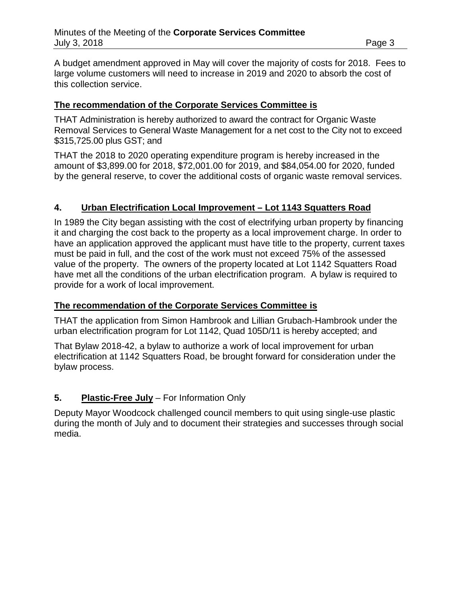A budget amendment approved in May will cover the majority of costs for 2018. Fees to large volume customers will need to increase in 2019 and 2020 to absorb the cost of this collection service.

### **The recommendation of the Corporate Services Committee is**

THAT Administration is hereby authorized to award the contract for Organic Waste Removal Services to General Waste Management for a net cost to the City not to exceed \$315,725.00 plus GST; and

THAT the 2018 to 2020 operating expenditure program is hereby increased in the amount of \$3,899.00 for 2018, \$72,001.00 for 2019, and \$84,054.00 for 2020, funded by the general reserve, to cover the additional costs of organic waste removal services.

## **4. Urban Electrification Local Improvement – Lot 1143 Squatters Road**

In 1989 the City began assisting with the cost of electrifying urban property by financing it and charging the cost back to the property as a local improvement charge. In order to have an application approved the applicant must have title to the property, current taxes must be paid in full, and the cost of the work must not exceed 75% of the assessed value of the property. The owners of the property located at Lot 1142 Squatters Road have met all the conditions of the urban electrification program. A bylaw is required to provide for a work of local improvement.

### **The recommendation of the Corporate Services Committee is**

THAT the application from Simon Hambrook and Lillian Grubach-Hambrook under the urban electrification program for Lot 1142, Quad 105D/11 is hereby accepted; and

That Bylaw 2018-42, a bylaw to authorize a work of local improvement for urban electrification at 1142 Squatters Road, be brought forward for consideration under the bylaw process.

## **5. Plastic-Free July** – For Information Only

Deputy Mayor Woodcock challenged council members to quit using single-use plastic during the month of July and to document their strategies and successes through social media.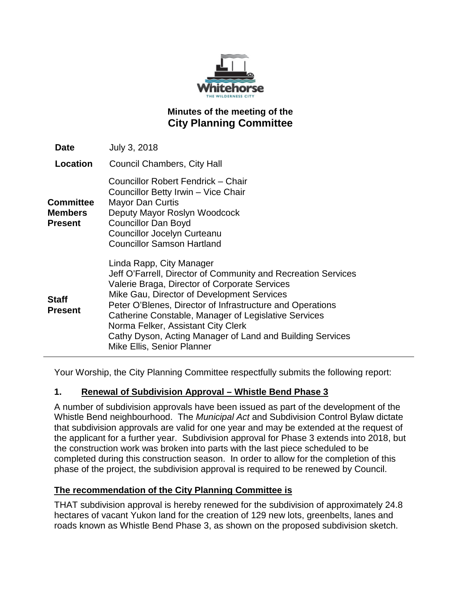

# **Minutes of the meeting of the City Planning Committee**

| Date                                          | July 3, 2018                                                                                                                                                                                                                                                                                                                                                                                                                                   |
|-----------------------------------------------|------------------------------------------------------------------------------------------------------------------------------------------------------------------------------------------------------------------------------------------------------------------------------------------------------------------------------------------------------------------------------------------------------------------------------------------------|
| Location                                      | <b>Council Chambers, City Hall</b>                                                                                                                                                                                                                                                                                                                                                                                                             |
| <b>Committee</b><br><b>Members</b><br>Present | Councillor Robert Fendrick - Chair<br>Councillor Betty Irwin - Vice Chair<br><b>Mayor Dan Curtis</b><br>Deputy Mayor Roslyn Woodcock<br><b>Councillor Dan Boyd</b><br><b>Councillor Jocelyn Curteanu</b><br><b>Councillor Samson Hartland</b>                                                                                                                                                                                                  |
| Staff<br><b>Present</b>                       | Linda Rapp, City Manager<br>Jeff O'Farrell, Director of Community and Recreation Services<br>Valerie Braga, Director of Corporate Services<br>Mike Gau, Director of Development Services<br>Peter O'Blenes, Director of Infrastructure and Operations<br>Catherine Constable, Manager of Legislative Services<br>Norma Felker, Assistant City Clerk<br>Cathy Dyson, Acting Manager of Land and Building Services<br>Mike Ellis, Senior Planner |

Your Worship, the City Planning Committee respectfully submits the following report:

## **1. Renewal of Subdivision Approval – Whistle Bend Phase 3**

A number of subdivision approvals have been issued as part of the development of the Whistle Bend neighbourhood. The *Municipal Act* and Subdivision Control Bylaw dictate that subdivision approvals are valid for one year and may be extended at the request of the applicant for a further year. Subdivision approval for Phase 3 extends into 2018, but the construction work was broken into parts with the last piece scheduled to be completed during this construction season. In order to allow for the completion of this phase of the project, the subdivision approval is required to be renewed by Council.

## **The recommendation of the City Planning Committee is**

THAT subdivision approval is hereby renewed for the subdivision of approximately 24.8 hectares of vacant Yukon land for the creation of 129 new lots, greenbelts, lanes and roads known as Whistle Bend Phase 3, as shown on the proposed subdivision sketch.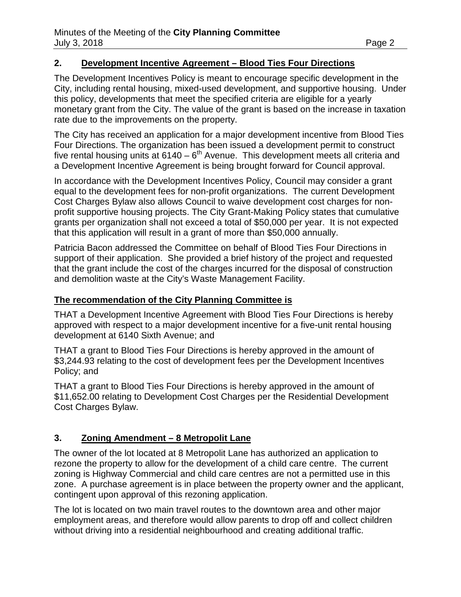## **2. Development Incentive Agreement – Blood Ties Four Directions**

The Development Incentives Policy is meant to encourage specific development in the City, including rental housing, mixed-used development, and supportive housing. Under this policy, developments that meet the specified criteria are eligible for a yearly monetary grant from the City. The value of the grant is based on the increase in taxation rate due to the improvements on the property.

The City has received an application for a major development incentive from Blood Ties Four Directions. The organization has been issued a development permit to construct five rental housing units at  $6140 - 6^{th}$  Avenue. This development meets all criteria and a Development Incentive Agreement is being brought forward for Council approval.

In accordance with the Development Incentives Policy, Council may consider a grant equal to the development fees for non-profit organizations. The current Development Cost Charges Bylaw also allows Council to waive development cost charges for nonprofit supportive housing projects. The City Grant-Making Policy states that cumulative grants per organization shall not exceed a total of \$50,000 per year. It is not expected that this application will result in a grant of more than \$50,000 annually.

Patricia Bacon addressed the Committee on behalf of Blood Ties Four Directions in support of their application. She provided a brief history of the project and requested that the grant include the cost of the charges incurred for the disposal of construction and demolition waste at the City's Waste Management Facility.

### **The recommendation of the City Planning Committee is**

THAT a Development Incentive Agreement with Blood Ties Four Directions is hereby approved with respect to a major development incentive for a five-unit rental housing development at 6140 Sixth Avenue; and

THAT a grant to Blood Ties Four Directions is hereby approved in the amount of \$3,244.93 relating to the cost of development fees per the Development Incentives Policy; and

THAT a grant to Blood Ties Four Directions is hereby approved in the amount of \$11,652.00 relating to Development Cost Charges per the Residential Development Cost Charges Bylaw.

# **3. Zoning Amendment – 8 Metropolit Lane**

The owner of the lot located at 8 Metropolit Lane has authorized an application to rezone the property to allow for the development of a child care centre. The current zoning is Highway Commercial and child care centres are not a permitted use in this zone. A purchase agreement is in place between the property owner and the applicant, contingent upon approval of this rezoning application.

The lot is located on two main travel routes to the downtown area and other major employment areas, and therefore would allow parents to drop off and collect children without driving into a residential neighbourhood and creating additional traffic.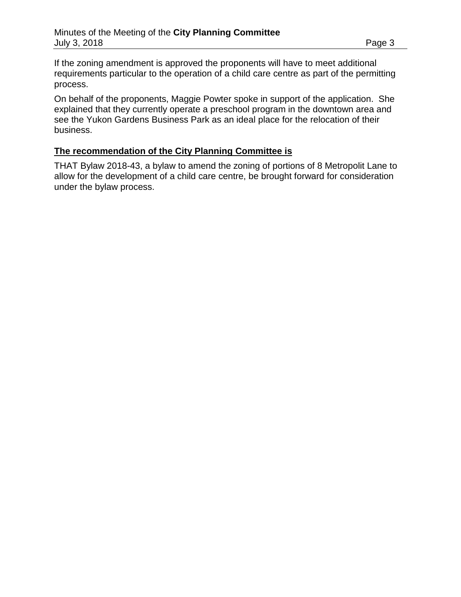If the zoning amendment is approved the proponents will have to meet additional requirements particular to the operation of a child care centre as part of the permitting process.

On behalf of the proponents, Maggie Powter spoke in support of the application. She explained that they currently operate a preschool program in the downtown area and see the Yukon Gardens Business Park as an ideal place for the relocation of their business.

## **The recommendation of the City Planning Committee is**

THAT Bylaw 2018-43, a bylaw to amend the zoning of portions of 8 Metropolit Lane to allow for the development of a child care centre, be brought forward for consideration under the bylaw process.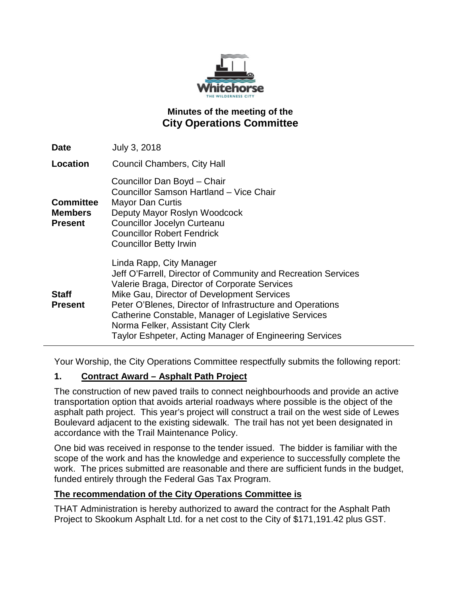

# **Minutes of the meeting of the City Operations Committee**

| <b>Date</b>                                          | July 3, 2018                                                                                                                                                                                                                                                                                                                                                                                                   |
|------------------------------------------------------|----------------------------------------------------------------------------------------------------------------------------------------------------------------------------------------------------------------------------------------------------------------------------------------------------------------------------------------------------------------------------------------------------------------|
| Location                                             | <b>Council Chambers, City Hall</b>                                                                                                                                                                                                                                                                                                                                                                             |
| <b>Committee</b><br><b>Members</b><br><b>Present</b> | Councillor Dan Boyd - Chair<br>Councillor Samson Hartland - Vice Chair<br>Mayor Dan Curtis<br>Deputy Mayor Roslyn Woodcock<br><b>Councillor Jocelyn Curteanu</b><br><b>Councillor Robert Fendrick</b><br><b>Councillor Betty Irwin</b>                                                                                                                                                                         |
| <b>Staff</b><br><b>Present</b>                       | Linda Rapp, City Manager<br>Jeff O'Farrell, Director of Community and Recreation Services<br>Valerie Braga, Director of Corporate Services<br>Mike Gau, Director of Development Services<br>Peter O'Blenes, Director of Infrastructure and Operations<br>Catherine Constable, Manager of Legislative Services<br>Norma Felker, Assistant City Clerk<br>Taylor Eshpeter, Acting Manager of Engineering Services |

Your Worship, the City Operations Committee respectfully submits the following report:

## **1. Contract Award – Asphalt Path Project**

The construction of new paved trails to connect neighbourhoods and provide an active transportation option that avoids arterial roadways where possible is the object of the asphalt path project. This year's project will construct a trail on the west side of Lewes Boulevard adjacent to the existing sidewalk. The trail has not yet been designated in accordance with the Trail Maintenance Policy.

One bid was received in response to the tender issued. The bidder is familiar with the scope of the work and has the knowledge and experience to successfully complete the work. The prices submitted are reasonable and there are sufficient funds in the budget, funded entirely through the Federal Gas Tax Program.

## **The recommendation of the City Operations Committee is**

THAT Administration is hereby authorized to award the contract for the Asphalt Path Project to Skookum Asphalt Ltd. for a net cost to the City of \$171,191.42 plus GST.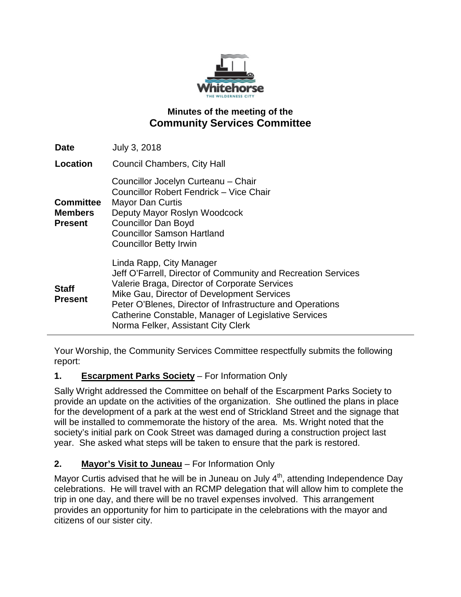

# **Minutes of the meeting of the Community Services Committee**

| <b>Date</b>                                          | July 3, 2018                                                                                                                                                                                                                                                                                                                                        |
|------------------------------------------------------|-----------------------------------------------------------------------------------------------------------------------------------------------------------------------------------------------------------------------------------------------------------------------------------------------------------------------------------------------------|
| Location                                             | <b>Council Chambers, City Hall</b>                                                                                                                                                                                                                                                                                                                  |
| <b>Committee</b><br><b>Members</b><br><b>Present</b> | Councillor Jocelyn Curteanu - Chair<br>Councillor Robert Fendrick - Vice Chair<br><b>Mayor Dan Curtis</b><br>Deputy Mayor Roslyn Woodcock<br><b>Councillor Dan Boyd</b><br><b>Councillor Samson Hartland</b><br><b>Councillor Betty Irwin</b>                                                                                                       |
| <b>Staff</b><br><b>Present</b>                       | Linda Rapp, City Manager<br>Jeff O'Farrell, Director of Community and Recreation Services<br>Valerie Braga, Director of Corporate Services<br>Mike Gau, Director of Development Services<br>Peter O'Blenes, Director of Infrastructure and Operations<br>Catherine Constable, Manager of Legislative Services<br>Norma Felker, Assistant City Clerk |

Your Worship, the Community Services Committee respectfully submits the following report:

# **1. Escarpment Parks Society** – For Information Only

Sally Wright addressed the Committee on behalf of the Escarpment Parks Society to provide an update on the activities of the organization. She outlined the plans in place for the development of a park at the west end of Strickland Street and the signage that will be installed to commemorate the history of the area. Ms. Wright noted that the society's initial park on Cook Street was damaged during a construction project last year. She asked what steps will be taken to ensure that the park is restored.

# **2. Mayor's Visit to Juneau** – For Information Only

Mayor Curtis advised that he will be in Juneau on July  $4<sup>th</sup>$ , attending Independence Day celebrations. He will travel with an RCMP delegation that will allow him to complete the trip in one day, and there will be no travel expenses involved. This arrangement provides an opportunity for him to participate in the celebrations with the mayor and citizens of our sister city.